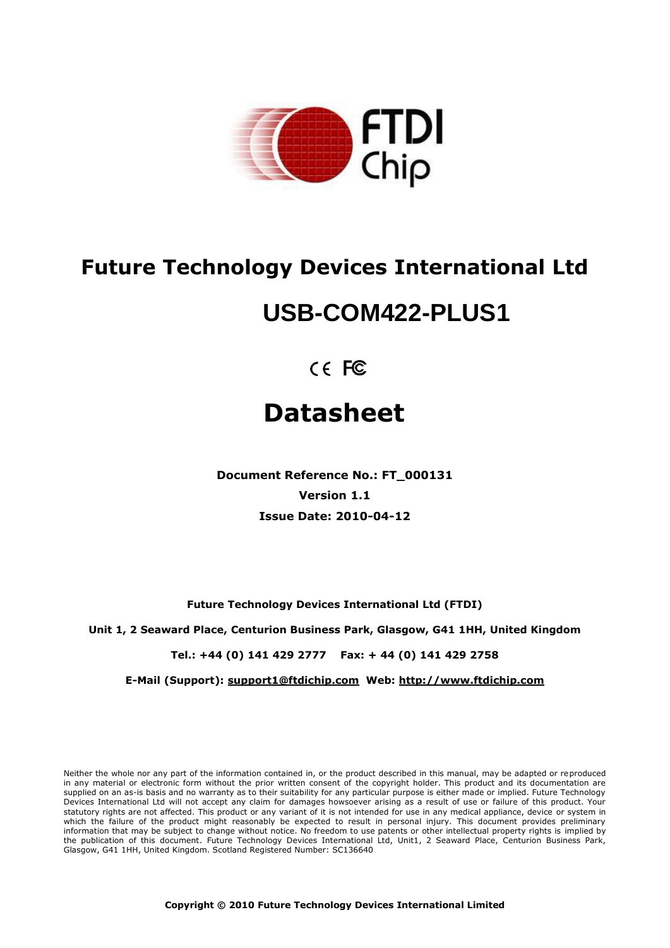

## **Future Technology Devices International Ltd**

# **USB-COM422-PLUS1**

 $C \in FC$ 

# **Datasheet**

**Document Reference No.: FT\_000131 Version 1.1 Issue Date: 2010-04-12**

**Future Technology Devices International Ltd (FTDI)**

**Unit 1, 2 Seaward Place, Centurion Business Park, Glasgow, G41 1HH, United Kingdom**

**Tel.: +44 (0) 141 429 2777 Fax: + 44 (0) 141 429 2758**

**E-Mail (Support): support1@ftdichip.com Web: http://www.ftdichip.com**

Neither the whole nor any part of the information contained in, or the product described in this manual, may be adapted or reproduced in any material or electronic form without the prior written consent of the copyright holder. This product and its documentation are supplied on an as-is basis and no warranty as to their suitability for any particular purpose is either made or implied. Future Technology Devices International Ltd will not accept any claim for damages howsoever arising as a result of use or failure of this product. Your statutory rights are not affected. This product or any variant of it is not intended for use in any medical appliance, device or system in which the failure of the product might reasonably be expected to result in personal injury. This document provides preliminary information that may be subject to change without notice. No freedom to use patents or other intellectual property rights is implied by the publication of this document. Future Technology Devices International Ltd, Unit1, 2 Seaward Place, Centurion Business Park, Glasgow, G41 1HH, United Kingdom. Scotland Registered Number: SC136640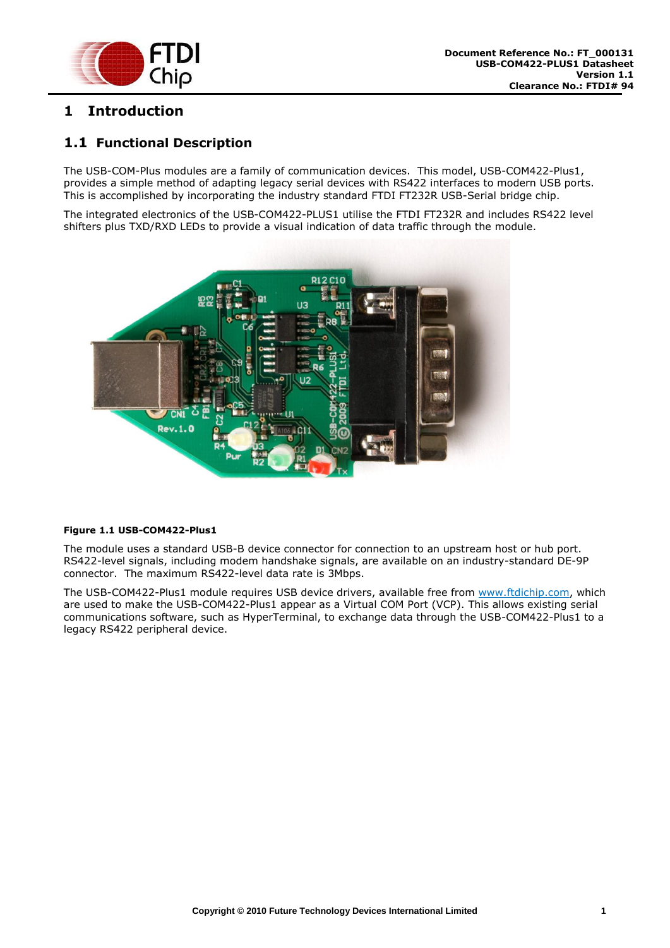

## <span id="page-1-0"></span>**1 Introduction**

## <span id="page-1-1"></span>**1.1 Functional Description**

The USB-COM-Plus modules are a family of communication devices. This model, USB-COM422-Plus1, provides a simple method of adapting legacy serial devices with RS422 interfaces to modern USB ports. This is accomplished by incorporating the industry standard FTDI FT232R USB-Serial bridge chip.

The integrated electronics of the USB-COM422-PLUS1 utilise the FTDI FT232R and includes RS422 level shifters plus TXD/RXD LEDs to provide a visual indication of data traffic through the module.



#### <span id="page-1-2"></span>**Figure 1.1 USB-COM422-Plus1**

The module uses a standard USB-B device connector for connection to an upstream host or hub port. RS422-level signals, including modem handshake signals, are available on an industry-standard DE-9P connector. The maximum RS422-level data rate is 3Mbps.

The USB-COM422-Plus1 module requires USB device drivers, available free from [www.ftdichip.com,](http://www.ftdichip.com/) which are used to make the USB-COM422-Plus1 appear as a Virtual COM Port (VCP). This allows existing serial communications software, such as HyperTerminal, to exchange data through the USB-COM422-Plus1 to a legacy RS422 peripheral device.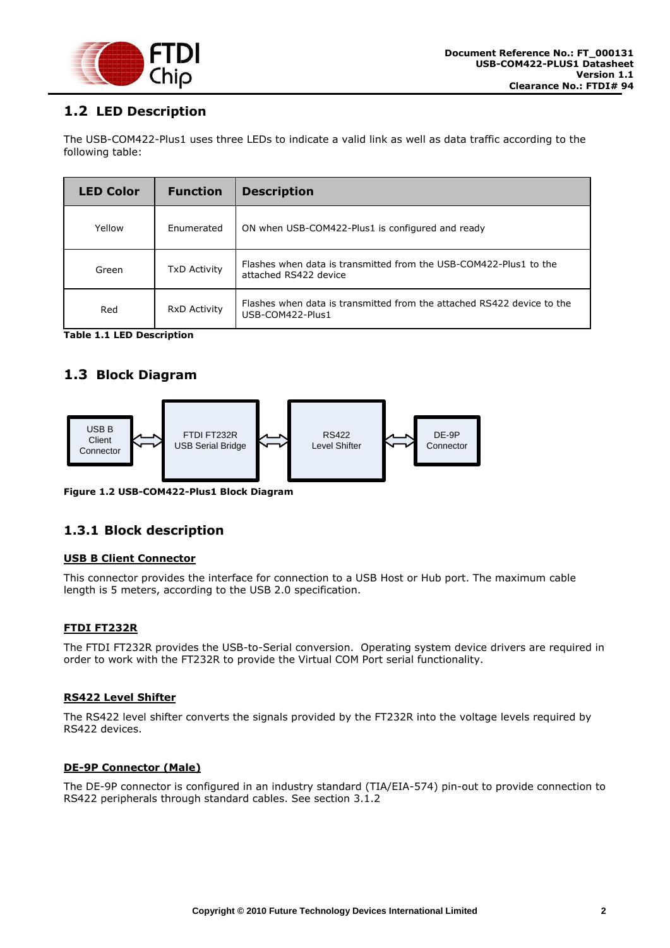

## <span id="page-2-0"></span>**1.2 LED Description**

The USB-COM422-Plus1 uses three LEDs to indicate a valid link as well as data traffic according to the following table:

| <b>LED Color</b> | <b>Function</b>     | <b>Description</b>                                                                         |
|------------------|---------------------|--------------------------------------------------------------------------------------------|
| Yellow           | Enumerated          | ON when USB-COM422-Plus1 is configured and ready                                           |
| Green            | <b>TxD Activity</b> | Flashes when data is transmitted from the USB-COM422-Plus1 to the<br>attached RS422 device |
| Red              | <b>RxD Activity</b> | Flashes when data is transmitted from the attached RS422 device to the<br>USB-COM422-Plus1 |

<span id="page-2-4"></span>**Table 1.1 LED Description**

## <span id="page-2-1"></span>**1.3 Block Diagram**



<span id="page-2-3"></span>**Figure 1.2 USB-COM422-Plus1 Block Diagram**

#### <span id="page-2-2"></span>**1.3.1 Block description**

#### **USB B Client Connector**

This connector provides the interface for connection to a USB Host or Hub port. The maximum cable length is 5 meters, according to the USB 2.0 specification.

#### **FTDI FT232R**

The FTDI FT232R provides the USB-to-Serial conversion. Operating system device drivers are required in order to work with the FT232R to provide the Virtual COM Port serial functionality.

#### **RS422 Level Shifter**

The RS422 level shifter converts the signals provided by the FT232R into the voltage levels required by RS422 devices.

#### **DE-9P Connector (Male)**

The DE-9P connector is configured in an industry standard (TIA/EIA-574) pin-out to provide connection to RS422 peripherals through standard cables. See section [3.1.2](#page-11-0)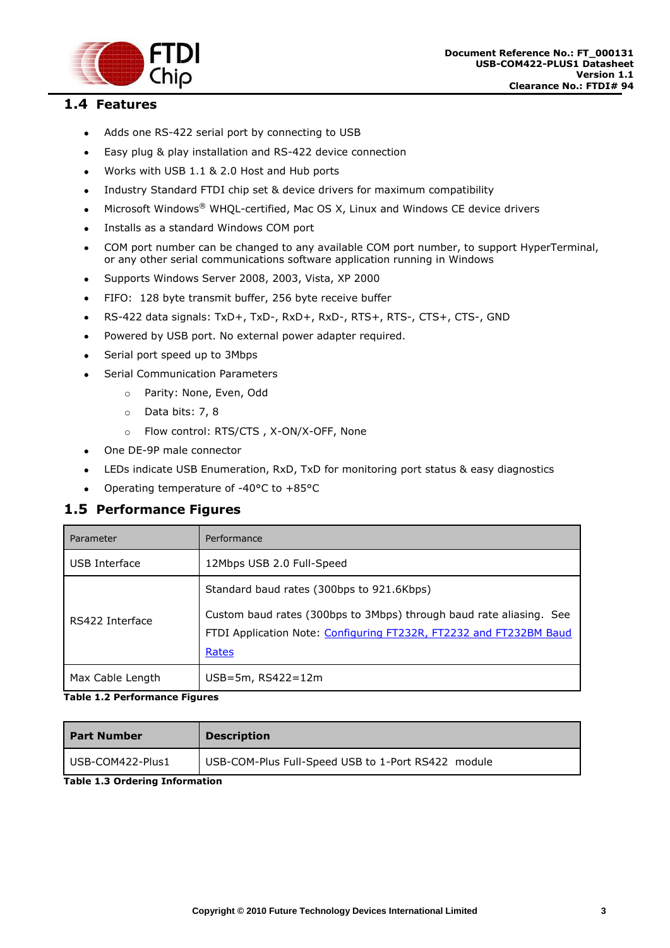

## <span id="page-3-0"></span>**1.4 Features**

- Adds one RS-422 serial port by connecting to USB  $\bullet$
- Easy plug & play installation and RS-422 device connection  $\bullet$
- Works with USB 1.1 & 2.0 Host and Hub ports  $\bullet$
- Industry Standard FTDI chip set & device drivers for maximum compatibility  $\bullet$
- Microsoft Windows® WHQL-certified, Mac OS X, Linux and Windows CE device drivers  $\bullet$
- Installs as a standard Windows COM port  $\bullet$
- COM port number can be changed to any available COM port number, to support HyperTerminal,  $\bullet$ or any other serial communications software application running in Windows
- Supports Windows Server 2008, 2003, Vista, XP 2000  $\bullet$
- FIFO: 128 byte transmit buffer, 256 byte receive buffer  $\bullet$
- RS-422 data signals: TxD+, TxD-, RxD+, RxD-, RTS+, RTS-, CTS+, CTS-, GND  $\bullet$
- Powered by USB port. No external power adapter required.  $\bullet$
- Serial port speed up to 3Mbps  $\bullet$
- Serial Communication Parameters  $\bullet$ 
	- o Parity: None, Even, Odd
	- o Data bits: 7, 8
	- o Flow control: RTS/CTS , X-ON/X-OFF, None
- One DE-9P male connector  $\bullet$
- LEDs indicate USB Enumeration, RxD, TxD for monitoring port status & easy diagnostics
- Operating temperature of -40°C to +85°C  $\bullet$

#### <span id="page-3-1"></span>**1.5 Performance Figures**

| Parameter        | Performance                                                                                                                                                                                     |
|------------------|-------------------------------------------------------------------------------------------------------------------------------------------------------------------------------------------------|
| USB Interface    | 12Mbps USB 2.0 Full-Speed                                                                                                                                                                       |
| RS422 Interface  | Standard baud rates (300bps to 921.6Kbps)<br>Custom baud rates (300bps to 3Mbps) through baud rate aliasing. See<br>FTDI Application Note: Configuring FT232R, FT2232 and FT232BM Baud<br>Rates |
| Max Cable Length | $USB=5m$ , RS422=12m                                                                                                                                                                            |

#### <span id="page-3-2"></span>**Table 1.2 Performance Figures**

| <b>Part Number</b> | <b>Description</b>                                 |
|--------------------|----------------------------------------------------|
| USB-COM422-Plus1   | USB-COM-Plus Full-Speed USB to 1-Port RS422 module |

#### <span id="page-3-3"></span>**Table 1.3 Ordering Information**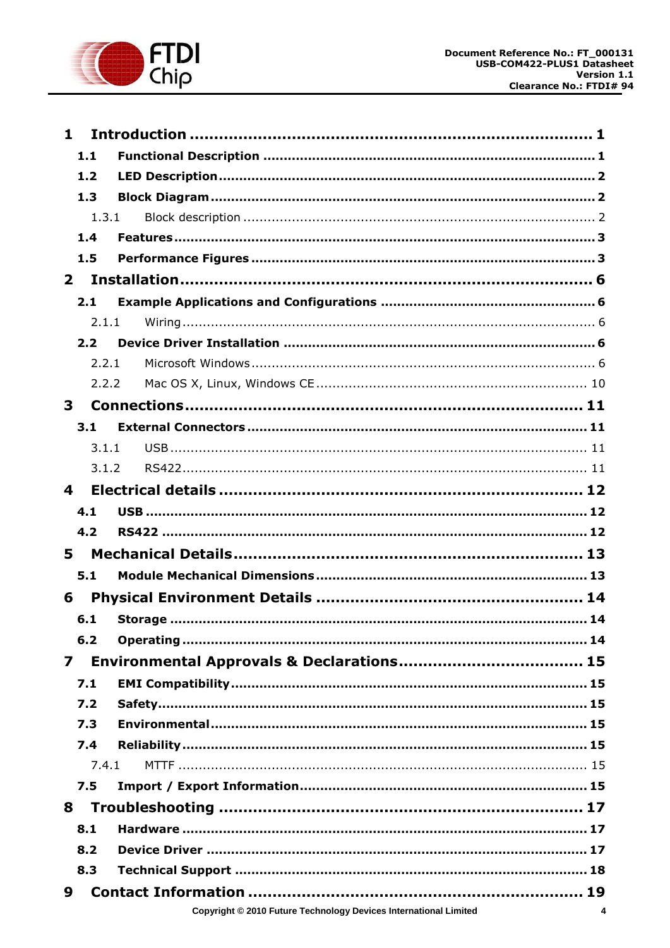

| $\mathbf 1$  |       |                                                 |  |  |
|--------------|-------|-------------------------------------------------|--|--|
|              | 1.1   |                                                 |  |  |
|              | 1.2   |                                                 |  |  |
|              | 1.3   |                                                 |  |  |
|              | 1.3.1 |                                                 |  |  |
|              | 1.4   |                                                 |  |  |
|              | 1.5   |                                                 |  |  |
| $\mathbf{2}$ |       |                                                 |  |  |
|              | 2.1   |                                                 |  |  |
|              | 2.1.1 |                                                 |  |  |
|              | 2.2   |                                                 |  |  |
|              | 2.2.1 |                                                 |  |  |
|              | 2.2.2 |                                                 |  |  |
| 3            |       |                                                 |  |  |
|              | 3.1   |                                                 |  |  |
|              | 3.1.1 |                                                 |  |  |
|              | 3.1.2 |                                                 |  |  |
| 4            |       |                                                 |  |  |
|              | 4.1   |                                                 |  |  |
|              | 4.2   |                                                 |  |  |
| 5            |       |                                                 |  |  |
|              | 5.1   |                                                 |  |  |
| 6            |       |                                                 |  |  |
|              | 6.1   |                                                 |  |  |
|              | $6.2$ |                                                 |  |  |
| 7            |       |                                                 |  |  |
|              | 7.1   |                                                 |  |  |
|              |       |                                                 |  |  |
|              | 7.2   |                                                 |  |  |
|              | 7.3   |                                                 |  |  |
|              | 7.4   |                                                 |  |  |
|              | 7.4.1 |                                                 |  |  |
|              | 7.5   |                                                 |  |  |
| 8            |       |                                                 |  |  |
|              | 8.1   | Hardware …………………………………………………………………………………………… 17 |  |  |
|              | 8.2   |                                                 |  |  |
|              | 8.3   |                                                 |  |  |
| 9            |       |                                                 |  |  |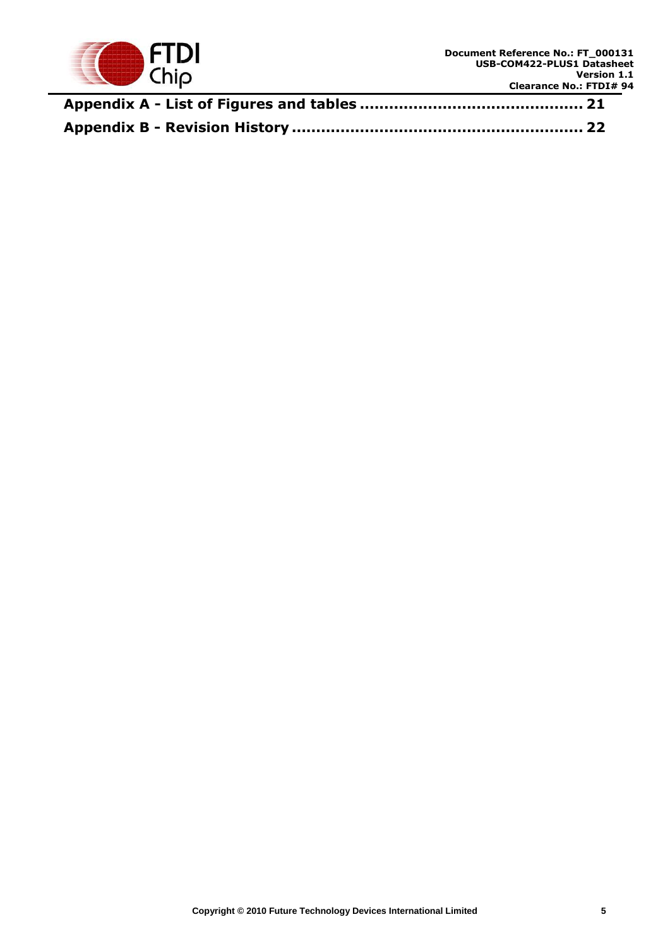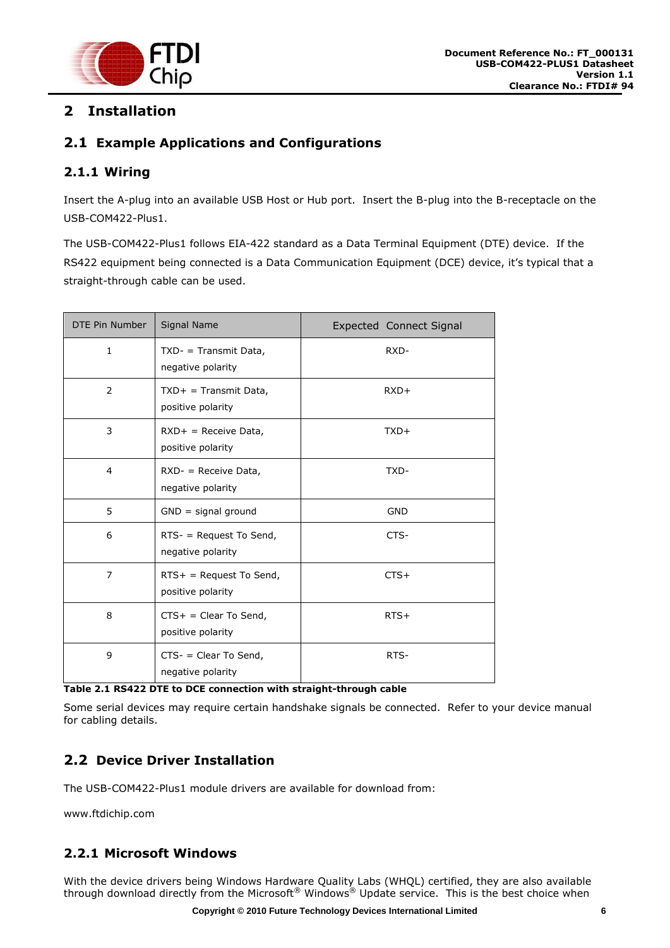

## <span id="page-6-0"></span>**2 Installation**

## <span id="page-6-1"></span>**2.1 Example Applications and Configurations**

## <span id="page-6-2"></span>**2.1.1 Wiring**

Insert the A-plug into an available USB Host or Hub port. Insert the B-plug into the B-receptacle on the USB-COM422-Plus1.

The USB-COM422-Plus1 follows EIA-422 standard as a Data Terminal Equipment (DTE) device. If the RS422 equipment being connected is a Data Communication Equipment (DCE) device, it's typical that a straight-through cable can be used.

| DTE Pin Number | Signal Name                                     | <b>Expected Connect Signal</b> |  |
|----------------|-------------------------------------------------|--------------------------------|--|
| $\mathbf{1}$   | $TXD - Transmit Data,$<br>negative polarity     | RXD-                           |  |
| 2              | $TXD+ = Transmit Data,$<br>positive polarity    | $RXD+$                         |  |
| 3              | $RXD+$ = Receive Data,<br>positive polarity     | $TXD+$                         |  |
| $\overline{4}$ | $RXD -$ = Receive Data,<br>negative polarity    | TXD-                           |  |
| 5              | $GND =$ signal ground                           | <b>GND</b>                     |  |
| 6              | $RTS -$ = Request To Send,<br>negative polarity | CTS-                           |  |
| $\overline{7}$ | $RTS+$ = Request To Send,<br>positive polarity  | $CTS+$                         |  |
| 8              | $CTS+ = Clear To Send,$<br>positive polarity    | $RTS+$                         |  |
| 9              | $CTS -$ = Clear To Send,<br>negative polarity   | RTS-                           |  |

<span id="page-6-5"></span>**Table 2.1 RS422 DTE to DCE connection with straight-through cable**

Some serial devices may require certain handshake signals be connected. Refer to your device manual for cabling details.

## <span id="page-6-3"></span>**2.2 Device Driver Installation**

The USB-COM422-Plus1 module drivers are available for download from:

www.ftdichip.com

## <span id="page-6-4"></span>**2.2.1 Microsoft Windows**

With the device drivers being Windows Hardware Quality Labs (WHQL) certified, they are also available through download directly from the Microsoft<sup>®</sup> Windows<sup>®</sup> Update service. This is the best choice when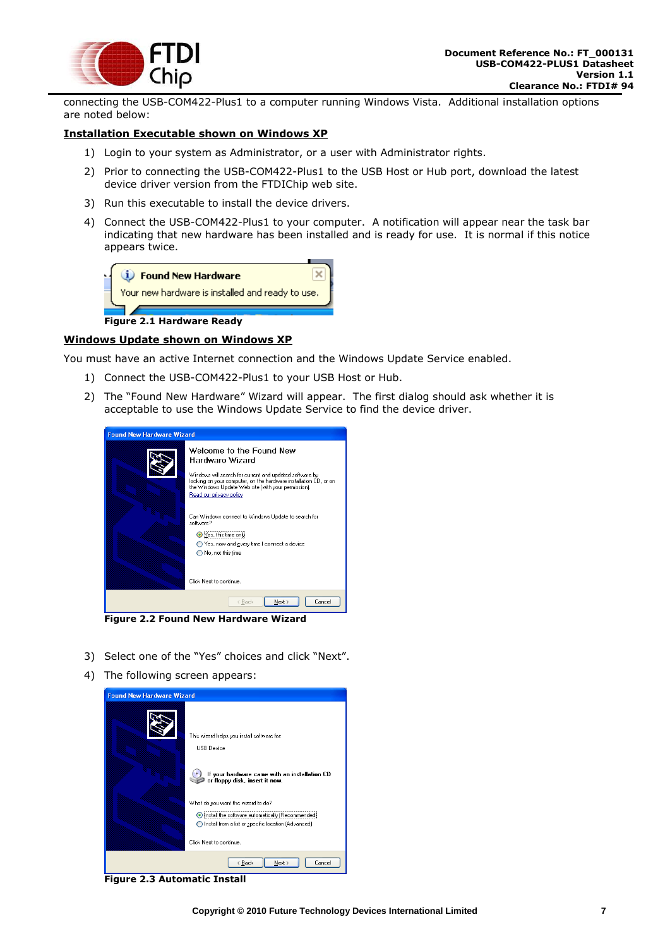

connecting the USB-COM422-Plus1 to a computer running Windows Vista. Additional installation options are noted below:

#### **Installation Executable shown on Windows XP**

- 1) Login to your system as Administrator, or a user with Administrator rights.
- 2) Prior to connecting the USB-COM422-Plus1 to the USB Host or Hub port, download the latest device driver version from the FTDIChip web site.
- 3) Run this executable to install the device drivers.
- 4) Connect the USB-COM422-Plus1 to your computer. A notification will appear near the task bar indicating that new hardware has been installed and is ready for use. It is normal if this notice appears twice.



**Figure 2.1 Hardware Ready**

#### <span id="page-7-0"></span>**Windows Update shown on Windows XP**

You must have an active Internet connection and the Windows Update Service enabled.

- 1) Connect the USB-COM422-Plus1 to your USB Host or Hub.
- 2) The "Found New Hardware" Wizard will appear. The first dialog should ask whether it is acceptable to use the Windows Update Service to find the device driver.

| <b>Found New Hardware Wizard</b> |                                                                                                                                                                                                                                                              |  |
|----------------------------------|--------------------------------------------------------------------------------------------------------------------------------------------------------------------------------------------------------------------------------------------------------------|--|
|                                  | Welcome to the Found New<br>Hardware Wizard<br>Windows will search for current and updated software by<br>looking on your computer, on the hardware installation CD, or on<br>the Windows Update Web site (with your permission).<br>Read our privacy policy |  |
|                                  | Can Windows connect to Windows Update to search for<br>software?<br>⊙Yes, this time only<br>Yes, now and every time I connect a device<br>No, not this time<br>Click Next to continue.                                                                       |  |
|                                  | Next ><br>Cancel<br>< Back                                                                                                                                                                                                                                   |  |

<span id="page-7-1"></span>**Figure 2.2 Found New Hardware Wizard**

- 3) Select one of the "Yes" choices and click "Next".
- 4) The following screen appears:

<span id="page-7-2"></span>

**Figure 2.3 Automatic Install**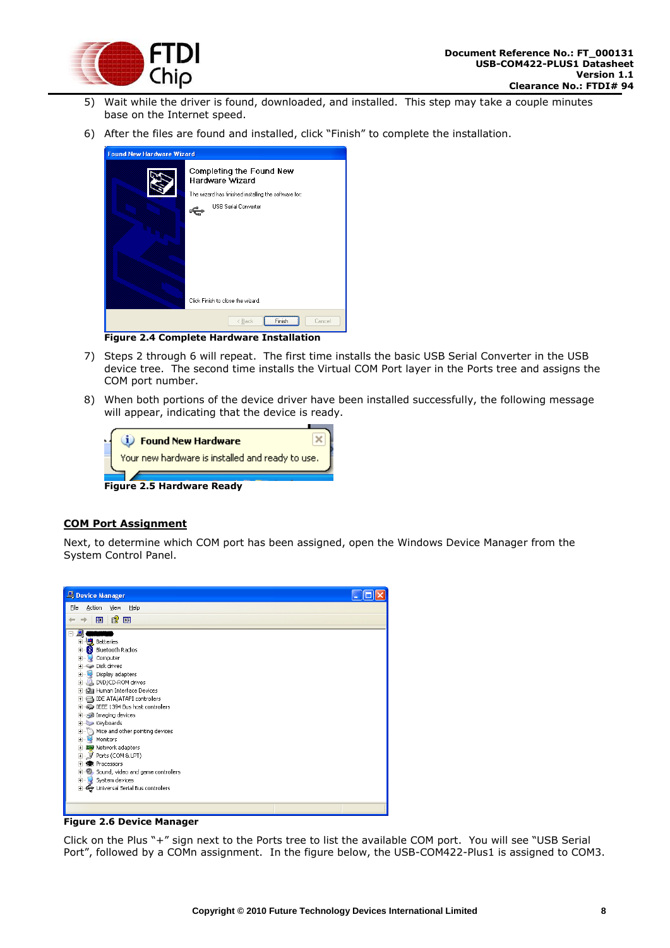

- 5) Wait while the driver is found, downloaded, and installed. This step may take a couple minutes base on the Internet speed.
- 6) After the files are found and installed, click "Finish" to complete the installation.

| <b>Found New Hardware Wizard</b> |                                                      |  |
|----------------------------------|------------------------------------------------------|--|
|                                  | Completing the Found New<br>Hardware Wizard          |  |
|                                  | The wizard has finished installing the software for: |  |
|                                  | <b>USB Serial Converter</b>                          |  |
|                                  | Click Finish to close the wizard.                    |  |
|                                  | Finish<br>< Back<br>Cancel                           |  |

**Figure 2.4 Complete Hardware Installation**

- <span id="page-8-0"></span>7) Steps 2 through 6 will repeat. The first time installs the basic USB Serial Converter in the USB device tree. The second time installs the Virtual COM Port layer in the Ports tree and assigns the COM port number.
- 8) When both portions of the device driver have been installed successfully, the following message will appear, indicating that the device is ready.



#### <span id="page-8-1"></span>**COM Port Assignment**

Next, to determine which COM port has been assigned, open the Windows Device Manager from the System Control Panel.



**Figure 2.6 Device Manager**

<span id="page-8-2"></span>Click on the Plus "+" sign next to the Ports tree to list the available COM port. You will see "USB Serial Port", followed by a COMn assignment. In the figure below, the USB-COM422-Plus1 is assigned to COM3.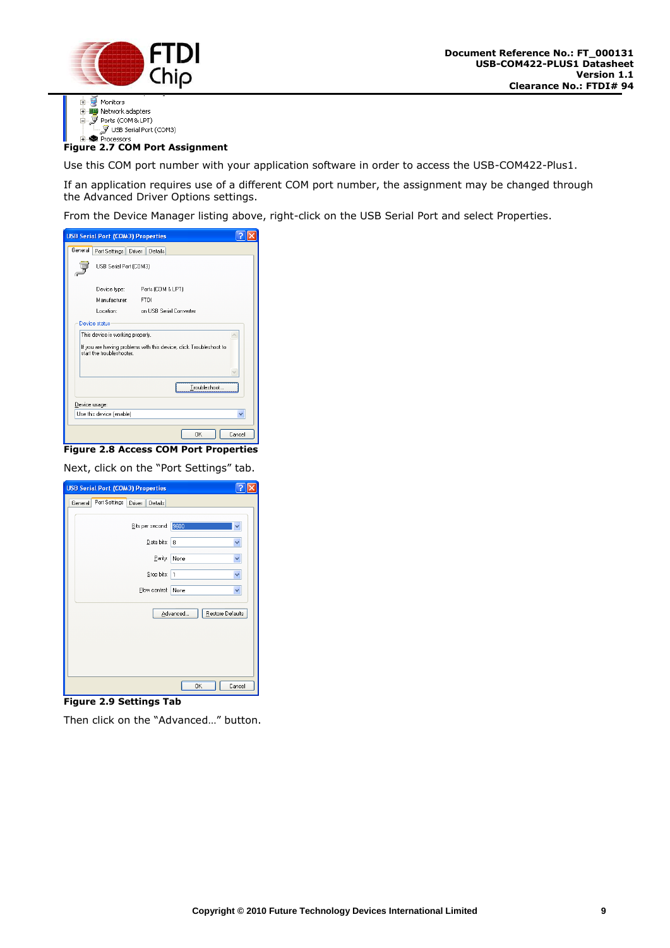



## <span id="page-9-0"></span>**Figure 2.7 COM Port Assignment**

Use this COM port number with your application software in order to access the USB-COM422-Plus1.

If an application requires use of a different COM port number, the assignment may be changed through the Advanced Driver Options settings.

From the Device Manager listing above, right-click on the USB Serial Port and select Properties.

|         | <b>USB Serial Port (COM3) Properties</b>                                                        |                         |  |  |
|---------|-------------------------------------------------------------------------------------------------|-------------------------|--|--|
| General | Port Settings Driver                                                                            | Details                 |  |  |
|         | USB Serial Port (COM3)                                                                          |                         |  |  |
|         | Device type:                                                                                    | Ports (COM & LPT)       |  |  |
|         | Manufacturer:                                                                                   | <b>FTDI</b>             |  |  |
|         | Location:<br>an W                                                                               | on USB Serial Converter |  |  |
|         | Device status<br>This device is working properly.                                               |                         |  |  |
|         | If you are having problems with this device, click Troubleshoot to<br>start the troubleshooter. |                         |  |  |
|         |                                                                                                 |                         |  |  |
|         |                                                                                                 | Troubleshoot            |  |  |
|         | Device usage:                                                                                   |                         |  |  |
|         | Use this device (enable)                                                                        |                         |  |  |
|         |                                                                                                 | <b>DK</b><br>Cancel     |  |  |

<span id="page-9-1"></span>**Figure 2.8 Access COM Port Properties** Next, click on the "Port Settings" tab.

| <b>USB Serial Port (COM3) Properties</b>      |                              |
|-----------------------------------------------|------------------------------|
| Port Settings<br>General<br>Driver<br>Details |                              |
|                                               |                              |
| Bits per second:                              | 9600                         |
| Data bits:                                    | 8                            |
| Parity:                                       | None                         |
|                                               |                              |
| Stop bits:                                    | 11                           |
| Flow control:                                 | None<br>v                    |
|                                               | Restore Defaults<br>Advanced |
|                                               |                              |
|                                               |                              |
|                                               |                              |
|                                               |                              |
|                                               |                              |
|                                               | <b>OK</b><br>Cancel          |

#### <span id="page-9-2"></span>**Figure 2.9 Settings Tab**

Then click on the "Advanced…" button.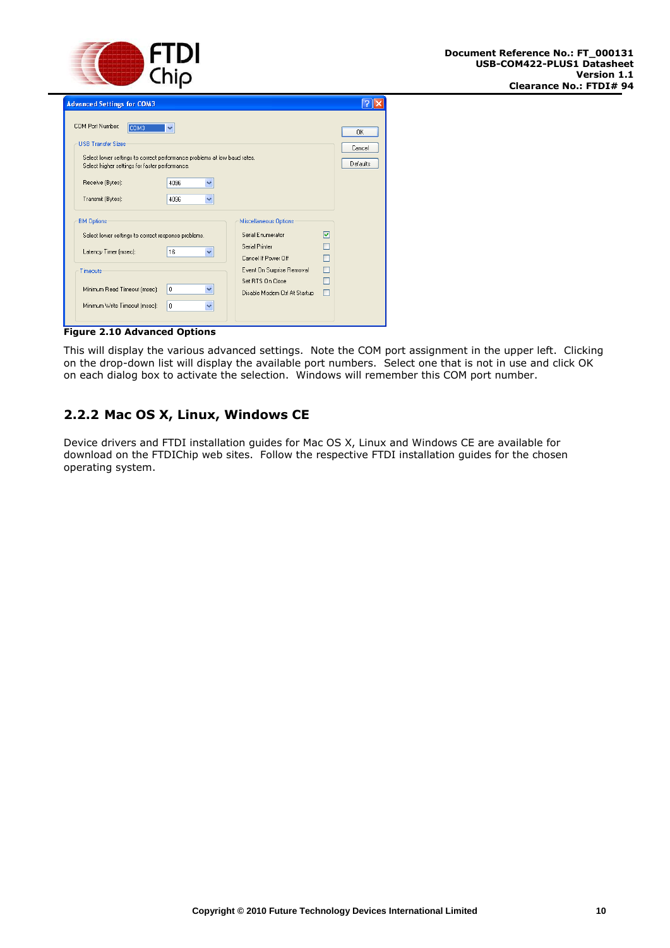

| <b>Advanced Settings for COM3</b>                                                                                                                                                                                                                                 |                                                                                                                                                                       |                          |
|-------------------------------------------------------------------------------------------------------------------------------------------------------------------------------------------------------------------------------------------------------------------|-----------------------------------------------------------------------------------------------------------------------------------------------------------------------|--------------------------|
| COM Port Number:<br>COM3<br>$\checkmark$<br><b>USB Transfer Sizes</b><br>Select lower settings to correct performance problems at low baud rates.<br>Select higher settings for faster performance.<br>Receive (Bytes):<br>4096<br>v<br>Transmit (Bytes):<br>4096 |                                                                                                                                                                       | OK<br>Cancel<br>Defaults |
| <b>BM Options</b><br>Select lower settings to correct response problems.<br>16<br>Latency Timer (msec):<br>v<br>Timeouts<br>0<br>Minimum Read Timeout (msec):<br>Minimum Write Timeout (msec):<br>0                                                               | Miscellaneous Options<br>Serial Enumerator<br>Serial Printer<br>Cancel If Power Off<br>Event On Surprise Removal<br>Set RTS On Close<br>Disable Modem Ctrl At Startup | 罓<br>П<br>П              |

<span id="page-10-1"></span>**Figure 2.10 Advanced Options** 

This will display the various advanced settings. Note the COM port assignment in the upper left. Clicking on the drop-down list will display the available port numbers. Select one that is not in use and click OK on each dialog box to activate the selection. Windows will remember this COM port number.

## <span id="page-10-0"></span>**2.2.2 Mac OS X, Linux, Windows CE**

Device drivers and FTDI installation guides for Mac OS X, Linux and Windows CE are available for download on the FTDIChip web sites. Follow the respective FTDI installation guides for the chosen operating system.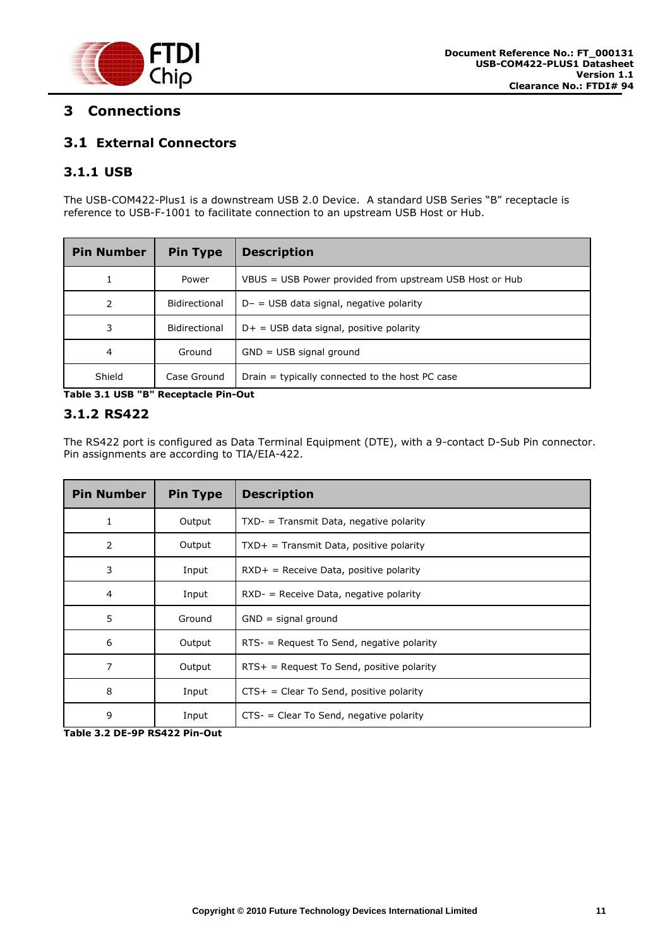

## <span id="page-11-1"></span>**3 Connections**

## <span id="page-11-2"></span>**3.1 External Connectors**

## <span id="page-11-3"></span>**3.1.1 USB**

The USB-COM422-Plus1 is a downstream USB 2.0 Device. A standard USB Series "B" receptacle is reference to USB-F-1001 to facilitate connection to an upstream USB Host or Hub.

| <b>Pin Number</b> | <b>Pin Type</b> | <b>Description</b>                                      |
|-------------------|-----------------|---------------------------------------------------------|
| 1                 | Power           | VBUS = USB Power provided from upstream USB Host or Hub |
| 2                 | Bidirectional   | $D - =$ USB data signal, negative polarity              |
| 3                 | Bidirectional   | $D+$ = USB data signal, positive polarity               |
| 4                 | Ground          | $GND = USB$ signal ground                               |
| Shield            | Case Ground     | Drain = typically connected to the host PC case         |

<span id="page-11-4"></span>**Table 3.1 USB "B" Receptacle Pin-Out**

#### <span id="page-11-0"></span>**3.1.2 RS422**

The RS422 port is configured as Data Terminal Equipment (DTE), with a 9-contact D-Sub Pin connector. Pin assignments are according to TIA/EIA-422.

| <b>Pin Number</b> | <b>Pin Type</b> | <b>Description</b>                          |
|-------------------|-----------------|---------------------------------------------|
| 1                 | Output          | $TXD - Transmit Data$ , negative polarity   |
| 2                 | Output          | $TXD+$ = Transmit Data, positive polarity   |
| 3                 | Input           | $RXD+$ = Receive Data, positive polarity    |
| $\overline{4}$    | Input           | $RXD -$ = Receive Data, negative polarity   |
| 5                 | Ground          | $GND =$ signal ground                       |
| 6                 | Output          | RTS- = Request To Send, negative polarity   |
| 7                 | Output          | $RTS+$ = Request To Send, positive polarity |
| 8                 | Input           | $CTS+ = Clear To Send, positive polarity$   |
| 9                 | Input           | $CTS -$ = Clear To Send, negative polarity  |

<span id="page-11-5"></span>**Table 3.2 DE-9P RS422 Pin-Out**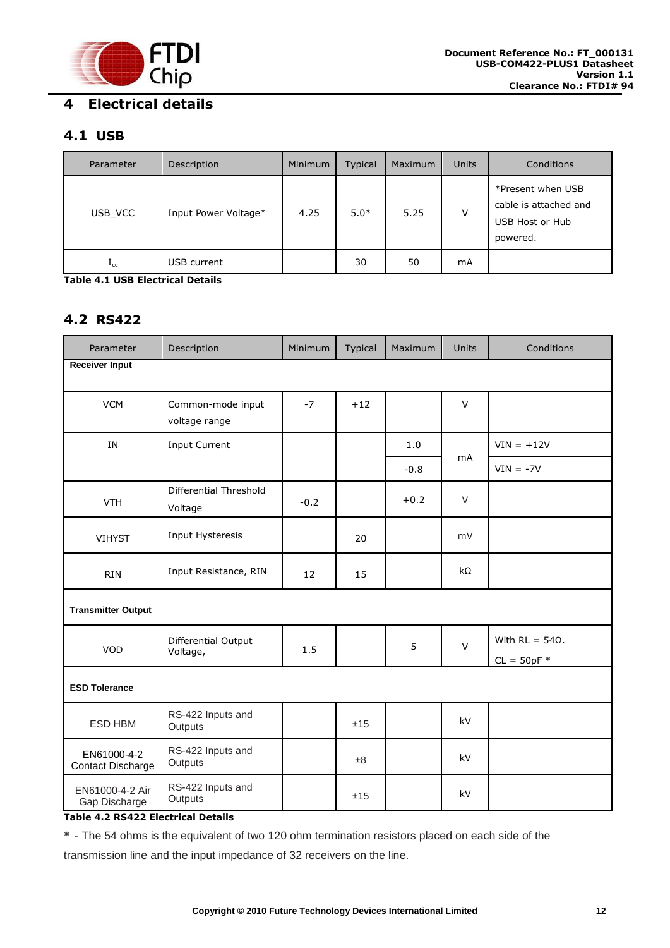

## <span id="page-12-1"></span><span id="page-12-0"></span>**4.1 USB**

| Parameter    | Description          | Minimum | <b>Typical</b> | Maximum | <b>Units</b> | Conditions                                                                |
|--------------|----------------------|---------|----------------|---------|--------------|---------------------------------------------------------------------------|
| USB VCC      | Input Power Voltage* | 4.25    | $5.0*$         | 5.25    | v            | *Present when USB<br>cable is attached and<br>USB Host or Hub<br>powered. |
| $_{\rm Lcc}$ | USB current          |         | 30             | 50      | mA           |                                                                           |

<span id="page-12-3"></span>**Table 4.1 USB Electrical Details**

#### <span id="page-12-2"></span>**4.2 RS422**

| Parameter                               | Description                        | Minimum | Typical | Maximum | <b>Units</b> | Conditions                              |
|-----------------------------------------|------------------------------------|---------|---------|---------|--------------|-----------------------------------------|
| <b>Receiver Input</b>                   |                                    |         |         |         |              |                                         |
| <b>VCM</b>                              | Common-mode input<br>voltage range | $-7$    | $+12$   |         | $\vee$       |                                         |
| IN                                      | <b>Input Current</b>               |         |         | 1.0     |              | $VIN = +12V$                            |
|                                         |                                    |         |         | $-0.8$  | <b>mA</b>    | $VIN = -7V$                             |
| <b>VTH</b>                              | Differential Threshold<br>Voltage  | $-0.2$  |         | $+0.2$  | $\vee$       |                                         |
| <b>VIHYST</b>                           | Input Hysteresis                   |         | 20      |         | mV           |                                         |
| <b>RIN</b>                              | Input Resistance, RIN              | 12      | 15      |         | $k\Omega$    |                                         |
| <b>Transmitter Output</b>               |                                    |         |         |         |              |                                         |
| VOD                                     | Differential Output<br>Voltage,    | 1.5     |         | 5       | $\vee$       | With $RL = 54\Omega$ .<br>$CL = 50pF$ * |
| <b>ESD Tolerance</b>                    |                                    |         |         |         |              |                                         |
| ESD HBM                                 | RS-422 Inputs and<br>Outputs       |         | ±15     |         | kV           |                                         |
| EN61000-4-2<br><b>Contact Discharge</b> | RS-422 Inputs and<br>Outputs       |         | ±8      |         | kV           |                                         |
| EN61000-4-2 Air<br>Gap Discharge        | RS-422 Inputs and<br>Outputs       |         | ±15     |         | kV           |                                         |

#### <span id="page-12-4"></span>**Table 4.2 RS422 Electrical Details**

\* - The 54 ohms is the equivalent of two 120 ohm termination resistors placed on each side of the

transmission line and the input impedance of 32 receivers on the line.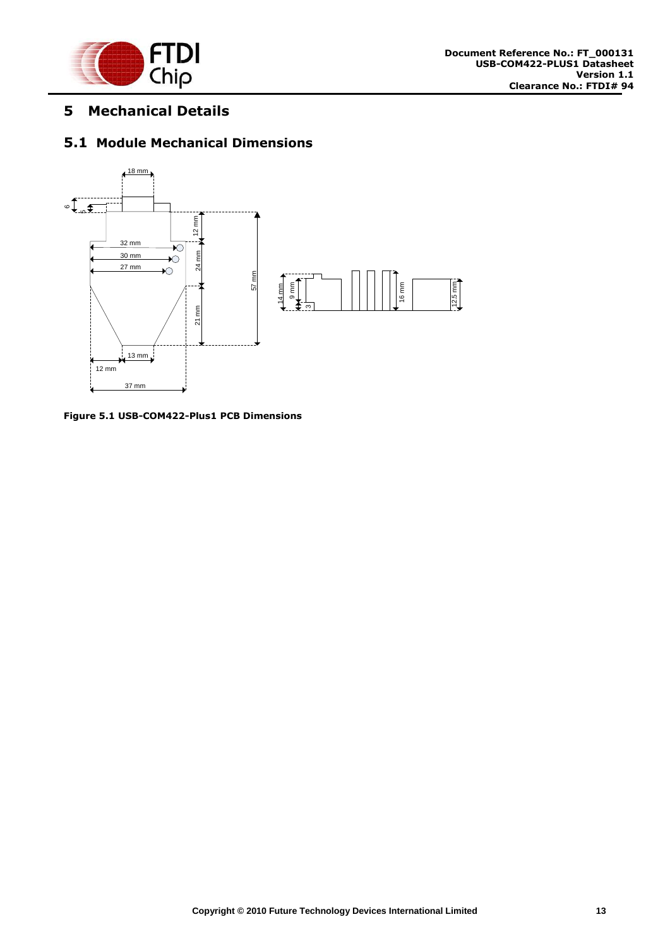

## <span id="page-13-0"></span>**5 Mechanical Details**

#### <span id="page-13-1"></span>**5.1 Module Mechanical Dimensions**



<span id="page-13-2"></span>**Figure 5.1 USB-COM422-Plus1 PCB Dimensions**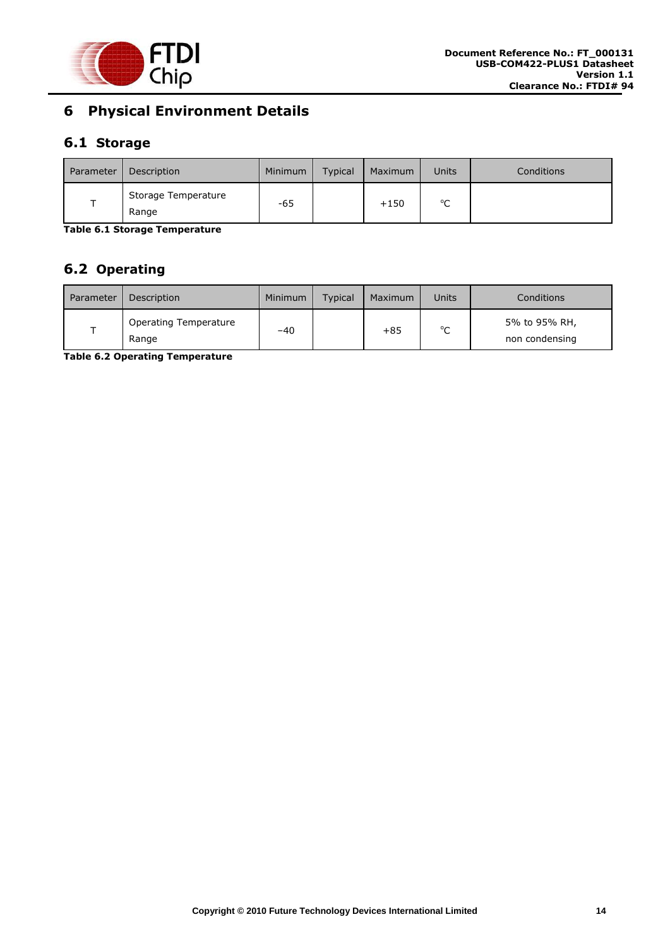

## <span id="page-14-0"></span>**6 Physical Environment Details**

## <span id="page-14-1"></span>**6.1 Storage**

| Parameter | Description                  | Minimum | <b>Typical</b> | Maximum | Units       | <b>Conditions</b> |
|-----------|------------------------------|---------|----------------|---------|-------------|-------------------|
|           | Storage Temperature<br>Range | -65     |                | $+150$  | $\sim$<br>֊ |                   |

<span id="page-14-3"></span>**Table 6.1 Storage Temperature** 

## <span id="page-14-2"></span>**6.2 Operating**

| Parameter | Description                           | Minimum | <b>Typical</b> | Maximum | Units       | Conditions                      |
|-----------|---------------------------------------|---------|----------------|---------|-------------|---------------------------------|
|           | <b>Operating Temperature</b><br>Range | $-40$   |                | $+85$   | $\sim$<br>◡ | 5% to 95% RH,<br>non condensing |

<span id="page-14-4"></span>**Table 6.2 Operating Temperature**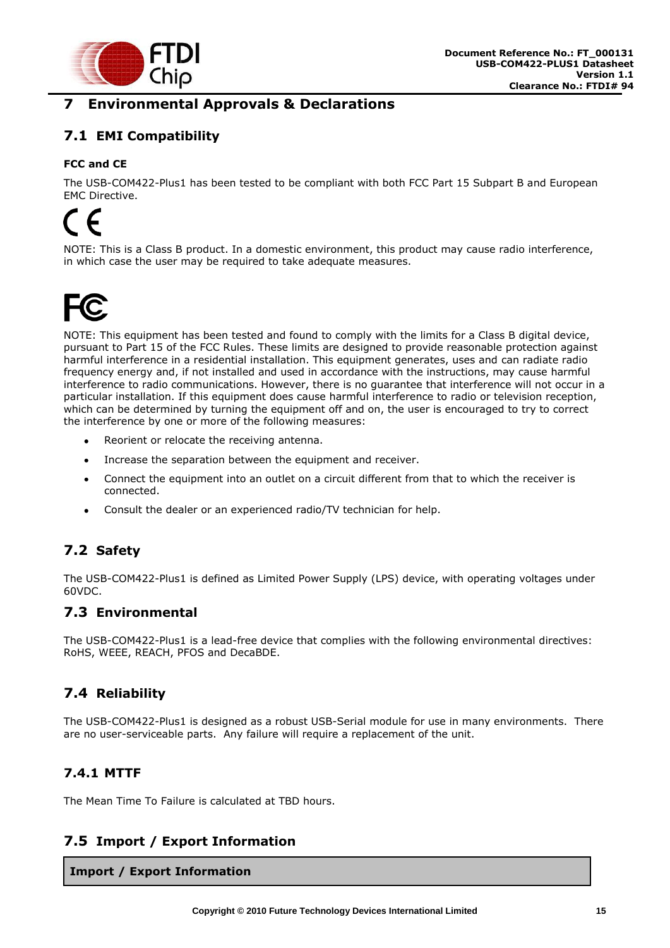

## <span id="page-15-0"></span>**7 Environmental Approvals & Declarations**

## <span id="page-15-1"></span>**7.1 EMI Compatibility**

#### **FCC and CE**

The USB-COM422-Plus1 has been tested to be compliant with both FCC Part 15 Subpart B and European EMC Directive.

# $\epsilon$

NOTE: This is a Class B product. In a domestic environment, this product may cause radio interference, in which case the user may be required to take adequate measures.



NOTE: This equipment has been tested and found to comply with the limits for a Class B digital device, pursuant to Part 15 of the FCC Rules. These limits are designed to provide reasonable protection against harmful interference in a residential installation. This equipment generates, uses and can radiate radio frequency energy and, if not installed and used in accordance with the instructions, may cause harmful interference to radio communications. However, there is no guarantee that interference will not occur in a particular installation. If this equipment does cause harmful interference to radio or television reception, which can be determined by turning the equipment off and on, the user is encouraged to try to correct the interference by one or more of the following measures:

- Reorient or relocate the receiving antenna.
- Increase the separation between the equipment and receiver.  $\bullet$
- Connect the equipment into an outlet on a circuit different from that to which the receiver is  $\bullet$ connected.
- Consult the dealer or an experienced radio/TV technician for help.

## <span id="page-15-2"></span>**7.2 Safety**

The USB-COM422-Plus1 is defined as Limited Power Supply (LPS) device, with operating voltages under 60VDC.

#### <span id="page-15-3"></span>**7.3 Environmental**

The USB-COM422-Plus1 is a lead-free device that complies with the following environmental directives: RoHS, WEEE, REACH, PFOS and DecaBDE.

## <span id="page-15-4"></span>**7.4 Reliability**

The USB-COM422-Plus1 is designed as a robust USB-Serial module for use in many environments. There are no user-serviceable parts. Any failure will require a replacement of the unit.

#### <span id="page-15-5"></span>**7.4.1 MTTF**

The Mean Time To Failure is calculated at TBD hours.

#### <span id="page-15-6"></span>**7.5 Import / Export Information**

**Import / Export Information**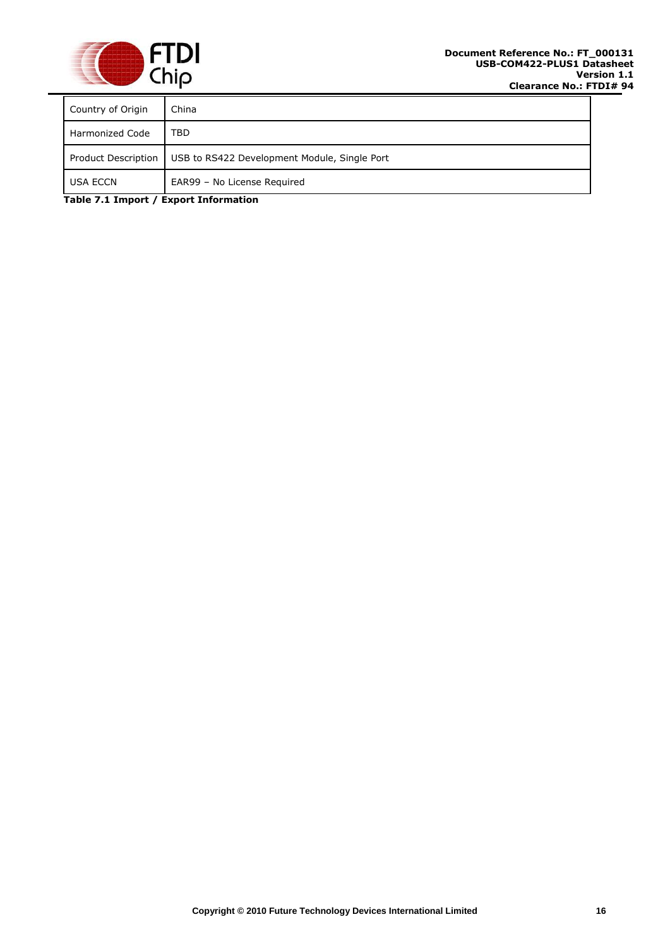

| Country of Origin   | China                                        |
|---------------------|----------------------------------------------|
| Harmonized Code     | TBD                                          |
| Product Description | USB to RS422 Development Module, Single Port |
| <b>USA ECCN</b>     | EAR99 - No License Required                  |

<span id="page-16-0"></span>**Table 7.1 Import / Export Information**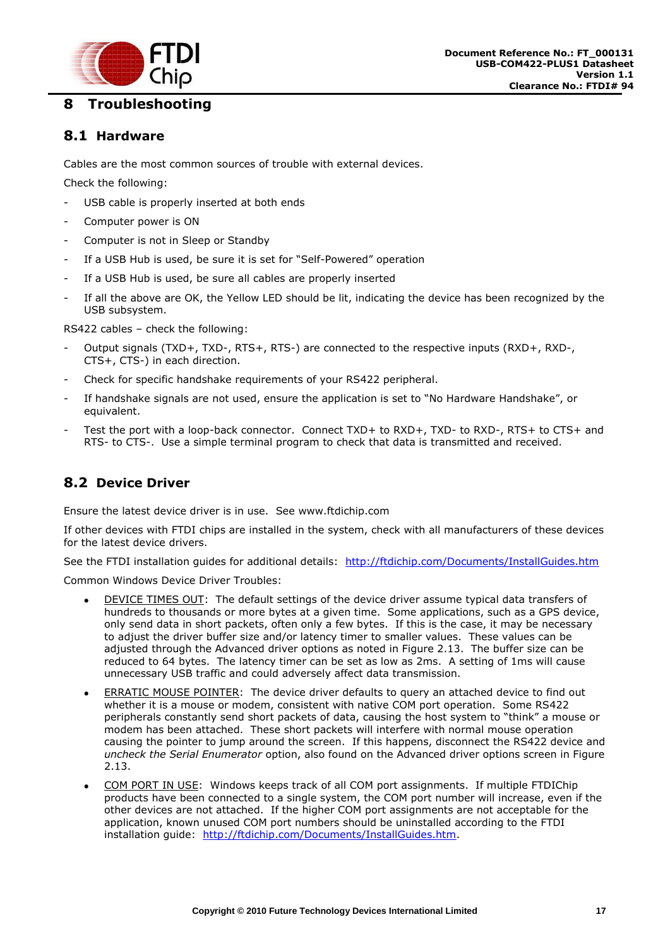

## <span id="page-17-0"></span>**8 Troubleshooting**

#### <span id="page-17-1"></span>**8.1 Hardware**

Cables are the most common sources of trouble with external devices.

Check the following:

- USB cable is properly inserted at both ends
- Computer power is ON
- Computer is not in Sleep or Standby
- If a USB Hub is used, be sure it is set for "Self-Powered" operation
- If a USB Hub is used, be sure all cables are properly inserted
- If all the above are OK, the Yellow LED should be lit, indicating the device has been recognized by the USB subsystem.

RS422 cables – check the following:

- Output signals (TXD+, TXD-, RTS+, RTS-) are connected to the respective inputs (RXD+, RXD-, CTS+, CTS-) in each direction.
- Check for specific handshake requirements of your RS422 peripheral.
- If handshake signals are not used, ensure the application is set to "No Hardware Handshake", or equivalent.
- Test the port with a loop-back connector. Connect TXD+ to RXD+, TXD- to RXD-, RTS+ to CTS+ and RTS- to CTS-. Use a simple terminal program to check that data is transmitted and received.

## <span id="page-17-2"></span>**8.2 Device Driver**

Ensure the latest device driver is in use. See www.ftdichip.com

If other devices with FTDI chips are installed in the system, check with all manufacturers of these devices for the latest device drivers.

See the FTDI installation guides for additional details: <http://ftdichip.com/Documents/InstallGuides.htm>

Common Windows Device Driver Troubles:

- DEVICE TIMES OUT: The default settings of the device driver assume typical data transfers of hundreds to thousands or more bytes at a given time. Some applications, such as a GPS device, only send data in short packets, often only a few bytes. If this is the case, it may be necessary to adjust the driver buffer size and/or latency timer to smaller values. These values can be adjusted through the Advanced driver options as noted in Figure 2.13. The buffer size can be reduced to 64 bytes. The latency timer can be set as low as 2ms. A setting of 1ms will cause unnecessary USB traffic and could adversely affect data transmission.
- ERRATIC MOUSE POINTER: The device driver defaults to query an attached device to find out whether it is a mouse or modem, consistent with native COM port operation. Some RS422 peripherals constantly send short packets of data, causing the host system to "think" a mouse or modem has been attached. These short packets will interfere with normal mouse operation causing the pointer to jump around the screen. If this happens, disconnect the RS422 device and *uncheck the Serial Enumerator* option, also found on the Advanced driver options screen in Figure 2.13.
- COM PORT IN USE: Windows keeps track of all COM port assignments. If multiple FTDIChip products have been connected to a single system, the COM port number will increase, even if the other devices are not attached. If the higher COM port assignments are not acceptable for the application, known unused COM port numbers should be uninstalled according to the FTDI installation guide: [http://ftdichip.com/Documents/InstallGuides.htm.](http://ftdichip.com/Documents/InstallGuides.htm)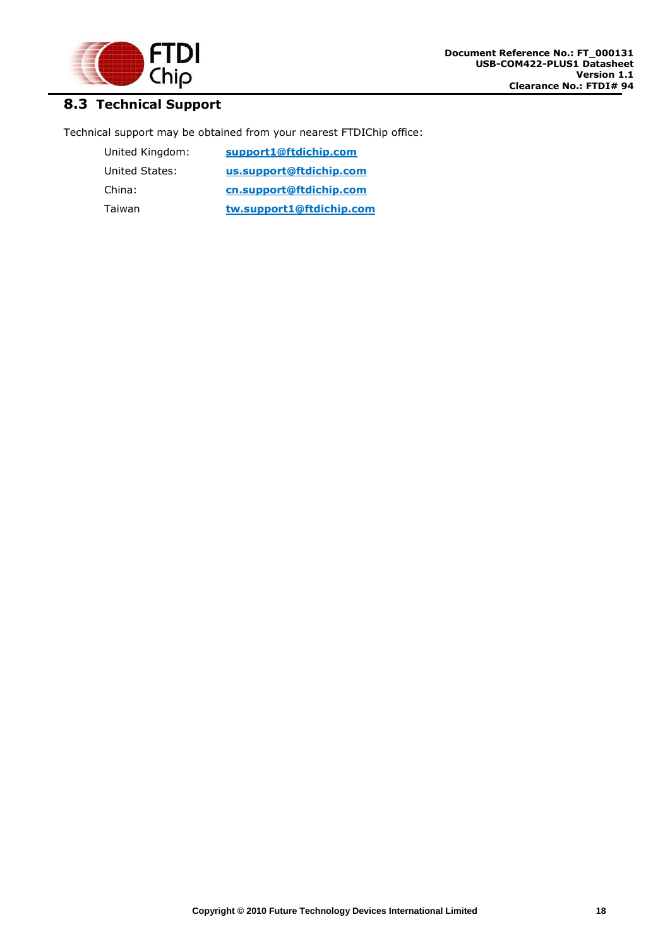

## <span id="page-18-0"></span>**8.3 Technical Support**

Technical support may be obtained from your nearest FTDIChip office:

| United Kingdom: | support1@ftdichip.com    |
|-----------------|--------------------------|
| United States:  | us.support@ftdichip.com  |
| China:          | cn.support@ftdichip.com  |
| Taiwan          | tw.support1@ftdichip.com |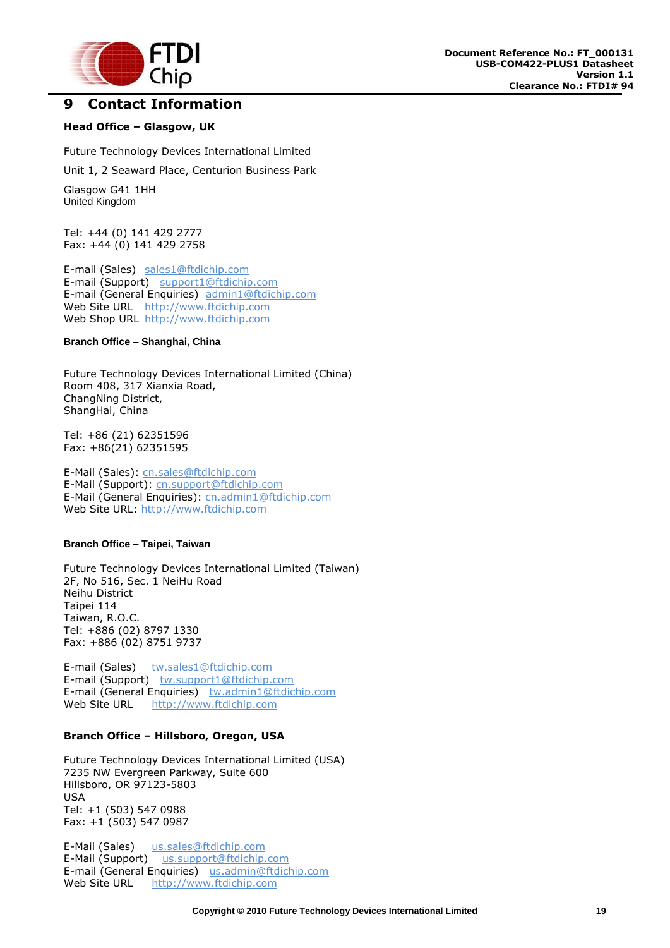

## <span id="page-19-0"></span>**9 Contact Information**

#### **Head Office – Glasgow, UK**

Future Technology Devices International Limited

Unit 1, 2 Seaward Place, Centurion Business Park

Glasgow G41 1HH United Kingdom

Tel: +44 (0) 141 429 2777 Fax: +44 (0) 141 429 2758

E-mail (Sales) [sales1@ftdichip.com](mailto:sales1@ftdichip.com) E-mail (Support) [support1@ftdichip.com](mailto:support1@ftdichip.com) E-mail (General Enquiries) [admin1@ftdichip.com](mailto:admin1@ftdichip.com) Web Site URL [http://www.ftdichip.com](http://www.ftdichip.com/) Web Shop URL [http://www.ftdichip.com](http://www.ftdichip.com/)

#### **Branch Office – Shanghai, China**

Future Technology Devices International Limited (China) Room 408, 317 Xianxia Road, ChangNing District, ShangHai, China

Tel: +86 [\(21\) 6](LiveCall:(503)547-0988)2351596 Fax: +8[6\(21\) 6](LiveCall:(503)547-0987)2351595

E-Mail (Sales): [cn.sales@ftdichip.com](mailto:cn.sales@ftdichip.com) E-Mail (Support): c[n.support@ftdichip.](mailto:.support@ftdichip)com E-Mail (General Enquiries): cn[.admin1@ftdichip.com](mailto:admin1@ftdichip.com) Web Site URL: [http://www.ftdichip.com](http://www.ftdichip.com/)

#### **Branch Office – Taipei, Taiwan**

Future Technology Devices International Limited (Taiwan) 2F, No 516, Sec. 1 NeiHu Road Neihu District Taipei 114 Taiwan, R.O.C. Tel: +886 (02) 8797 1330 Fax: +886 (02) 8751 9737

E-mail (Sales) [tw.sales1@ftdichip.com](mailto:tw.sales1@ftdichip.com) E-mail (Support) [tw.support1@ftdichip.com](mailto:tw.support1@ftdichip.com) E-mail (General Enquiries) [tw.admin1@ftdichip.com](mailto:tw.admin1@ftdichip.com) Web Site URL [http://www.ftdichip.com](http://www.ftdichip.com/)

#### **Branch Office – Hillsboro, Oregon, USA**

Future Technology Devices International Limited (USA) 7235 NW Evergreen Parkway, Suite 600 Hillsboro, OR 97123-5803 USA Tel: +1 (503) 547 0988 Fax: +1 (503) 547 0987

E-Mail (Sales) [us.sales@ftdichip.com](mailto:us.sales@ftdichip.com) E-Mail (Support) [us.support@ftdichip.com](mailto:us.support@ftdichip.com) E-mail (General Enquiries) [us.admin@ftdichip.com](mailto:us.admin@ftdichip.com) Web Site URL [http://www.ftdichip.com](http://www.ftdichip.com/)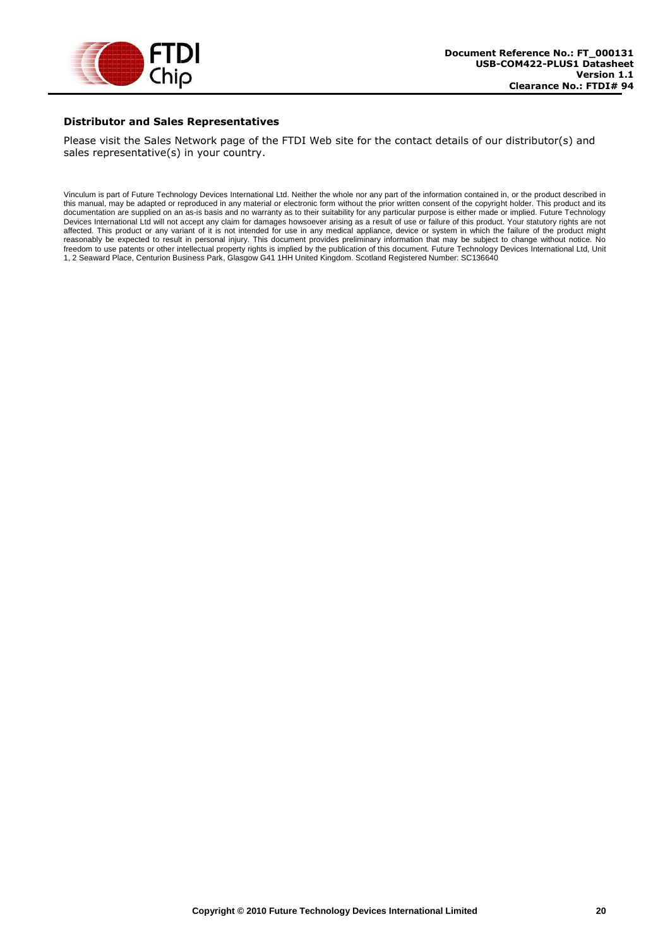

#### **Distributor and Sales Representatives**

Please visit the Sales Network page of the FTDI Web site for the contact details of our distributor(s) and sales representative(s) in your country.

Vinculum is part of Future Technology Devices International Ltd. Neither the whole nor any part of the information contained in, or the product described in this manual, may be adapted or reproduced in any material or electronic form without the prior written consent of the copyright holder. This product and its documentation are supplied on an as-is basis and no warranty as to their suitability for any particular purpose is either made or implied. Future Technology Devices International Ltd will not accept any claim for damages howsoever arising as a result of use or failure of this product. Your statutory rights are not affected. This product or any variant of it is not intended for use in any medical appliance, device or system in which the failure of the product might reasonably be expected to result in personal injury. This document provides preliminary information that may be subject to change without notice. No freedom to use patents or other intellectual property rights is implied by the publication of this document. Future Technology Devices International Ltd, Unit 1, 2 Seaward Place, Centurion Business Park, Glasgow G41 1HH United Kingdom. Scotland Registered Number: SC136640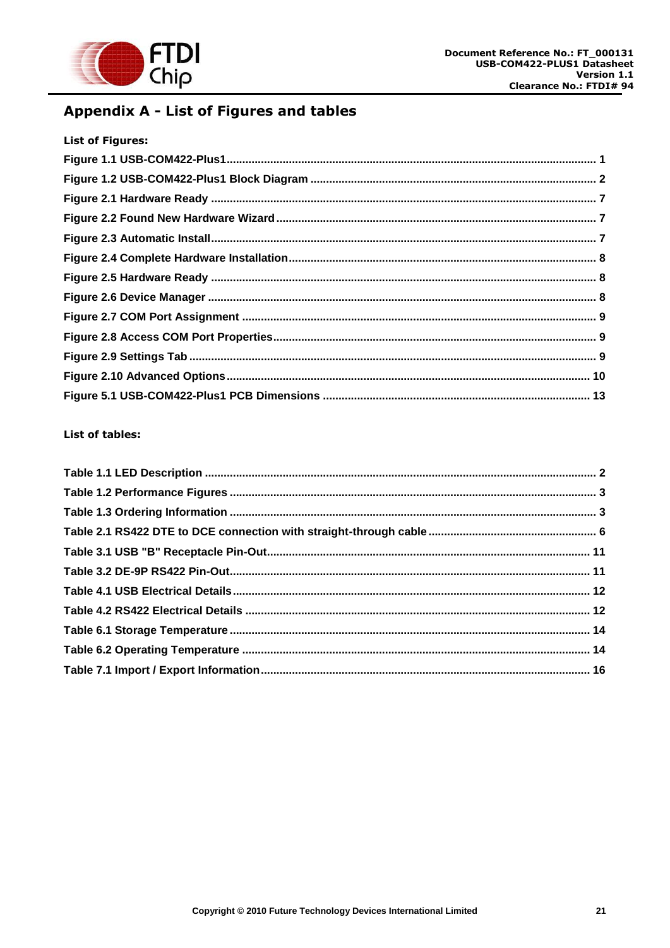

## <span id="page-21-0"></span>Appendix A - List of Figures and tables

| <b>List of Figures:</b> |  |
|-------------------------|--|
|                         |  |
|                         |  |
|                         |  |
|                         |  |
|                         |  |
|                         |  |
|                         |  |
|                         |  |
|                         |  |
|                         |  |
|                         |  |
|                         |  |
|                         |  |

#### List of tables: